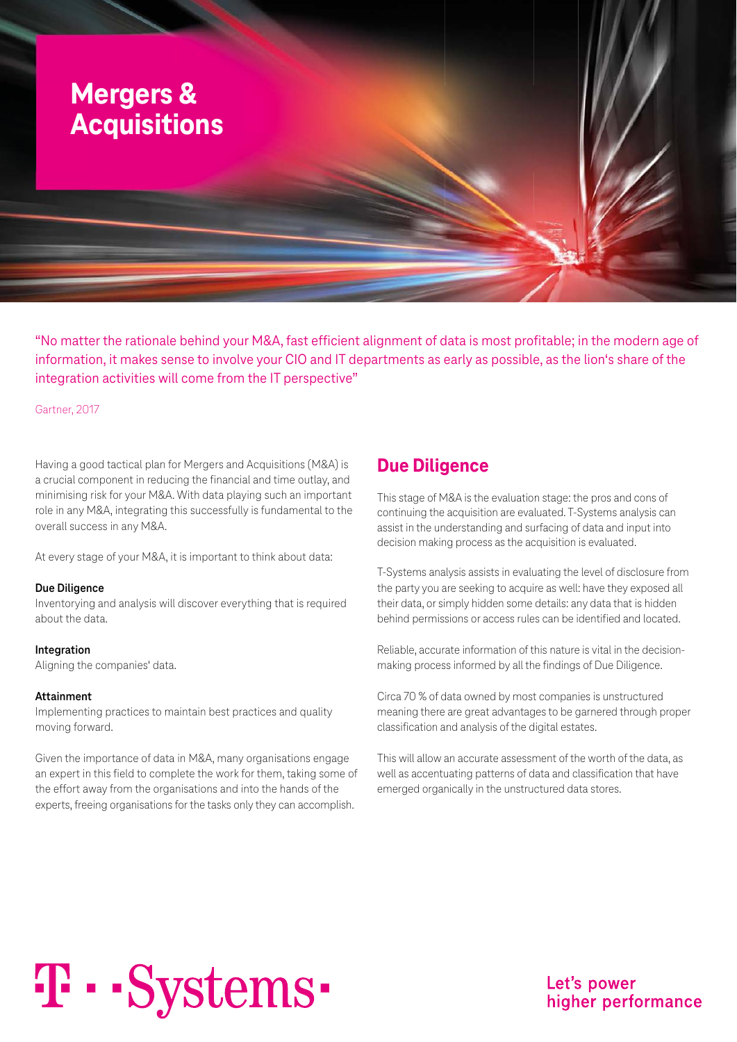

"No matter the rationale behind your M&A, fast efficient alignment of data is most profitable; in the modern age of information, it makes sense to involve your CIO and IT departments as early as possible, as the lion's share of the integration activities will come from the IT perspective"

#### Gartner, 2017

Having a good tactical plan for Mergers and Acquisitions (M&A) is a crucial component in reducing the financial and time outlay, and minimising risk for your M&A. With data playing such an important role in any M&A, integrating this successfully is fundamental to the overall success in any M&A.

At every stage of your M&A, it is important to think about data:

#### **Due Diligence**

Inventorying and analysis will discover everything that is required about the data.

#### **Integration**

Aligning the companies' data.

#### **Attainment**

Implementing practices to maintain best practices and quality moving forward.

Given the importance of data in M&A, many organisations engage an expert in this field to complete the work for them, taking some of the effort away from the organisations and into the hands of the experts, freeing organisations for the tasks only they can accomplish.

#### **Due Diligence**

This stage of M&A is the evaluation stage: the pros and cons of continuing the acquisition are evaluated. T-Systems analysis can assist in the understanding and surfacing of data and input into decision making process as the acquisition is evaluated.

T-Systems analysis assists in evaluating the level of disclosure from the party you are seeking to acquire as well: have they exposed all their data, or simply hidden some details: any data that is hidden behind permissions or access rules can be identified and located.

Reliable, accurate information of this nature is vital in the decisionmaking process informed by all the findings of Due Diligence.

Circa 70 % of data owned by most companies is unstructured meaning there are great advantages to be garnered through proper classification and analysis of the digital estates.

This will allow an accurate assessment of the worth of the data, as well as accentuating patterns of data and classification that have emerged organically in the unstructured data stores.

# T · · Systems ·

Let's power higher performance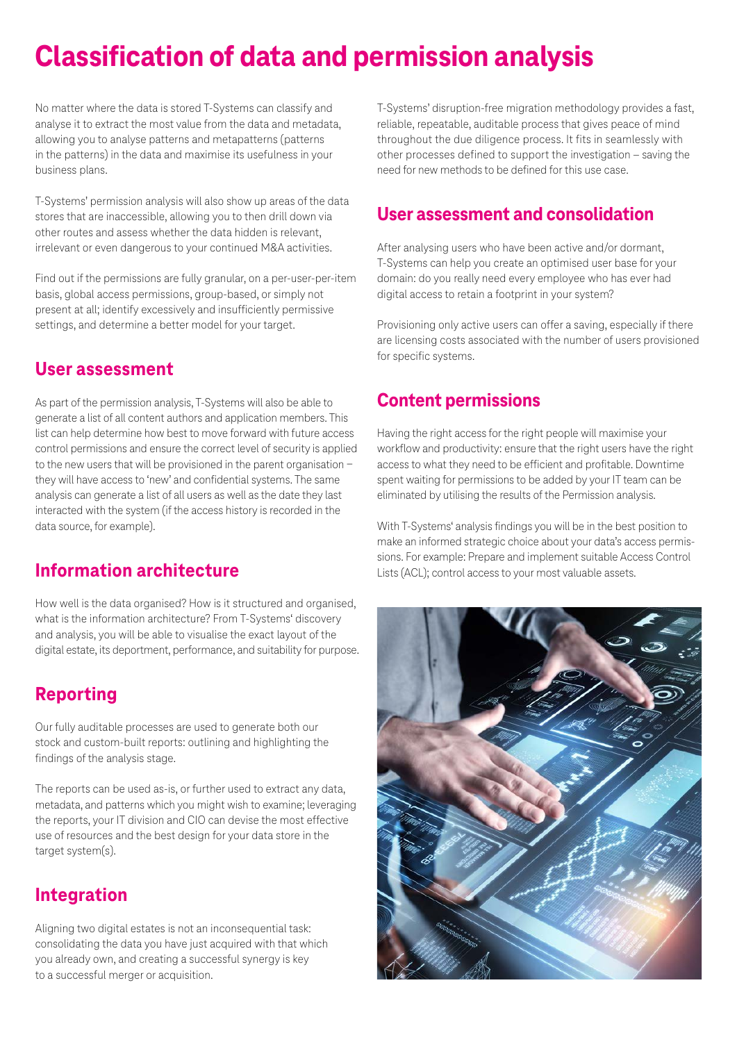## **Classification of data and permission analysis**

No matter where the data is stored T-Systems can classify and analyse it to extract the most value from the data and metadata, allowing you to analyse patterns and metapatterns (patterns in the patterns) in the data and maximise its usefulness in your business plans.

T-Systems' permission analysis will also show up areas of the data stores that are inaccessible, allowing you to then drill down via other routes and assess whether the data hidden is relevant, irrelevant or even dangerous to your continued M&A activities.

Find out if the permissions are fully granular, on a per-user-per-item basis, global access permissions, group-based, or simply not present at all; identify excessively and insufficiently permissive settings, and determine a better model for your target.

#### **User assessment**

As part of the permission analysis, T-Systems will also be able to generate a list of all content authors and application members. This list can help determine how best to move forward with future access control permissions and ensure the correct level of security is applied to the new users that will be provisioned in the parent organisation − they will have access to 'new' and confidential systems. The same analysis can generate a list of all users as well as the date they last interacted with the system (if the access history is recorded in the data source, for example).

#### **Information architecture**

How well is the data organised? How is it structured and organised, what is the information architecture? From T-Systems' discovery and analysis, you will be able to visualise the exact layout of the digital estate, its deportment, performance, and suitability for purpose.

### **Reporting**

Our fully auditable processes are used to generate both our stock and custom-built reports: outlining and highlighting the findings of the analysis stage.

The reports can be used as-is, or further used to extract any data, metadata, and patterns which you might wish to examine; leveraging the reports, your IT division and CIO can devise the most effective use of resources and the best design for your data store in the target system(s).

#### **Integration**

Aligning two digital estates is not an inconsequential task: consolidating the data you have just acquired with that which you already own, and creating a successful synergy is key to a successful merger or acquisition.

T-Systems' disruption-free migration methodology provides a fast, reliable, repeatable, auditable process that gives peace of mind throughout the due diligence process. It fits in seamlessly with other processes defined to support the investigation – saving the need for new methods to be defined for this use case.

## **User assessment and consolidation**

After analysing users who have been active and/or dormant, T-Systems can help you create an optimised user base for your domain: do you really need every employee who has ever had digital access to retain a footprint in your system?

Provisioning only active users can offer a saving, especially if there are licensing costs associated with the number of users provisioned for specific systems.

## **Content permissions**

Having the right access for the right people will maximise your workflow and productivity: ensure that the right users have the right access to what they need to be efficient and profitable. Downtime spent waiting for permissions to be added by your IT team can be eliminated by utilising the results of the Permission analysis.

With T-Systems' analysis findings you will be in the best position to make an informed strategic choice about your data's access permissions. For example: Prepare and implement suitable Access Control Lists (ACL); control access to your most valuable assets.